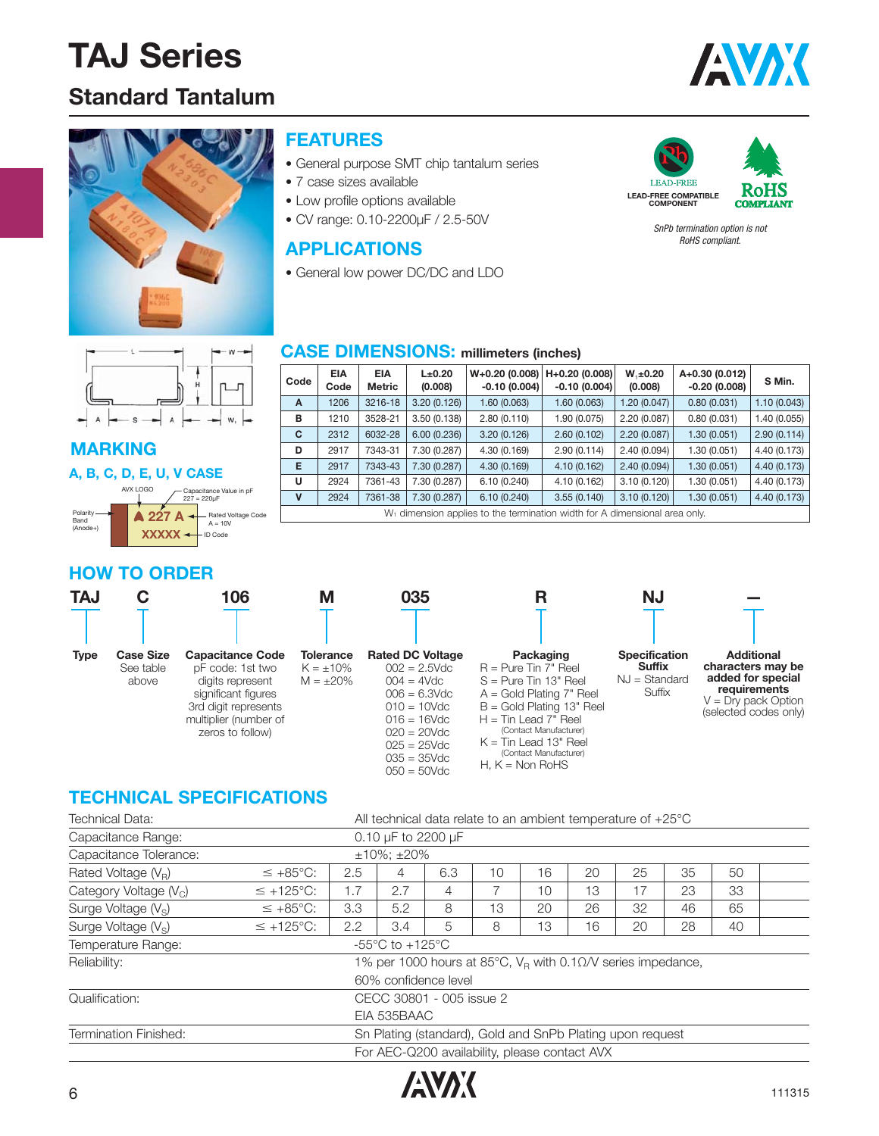### **Standard Tantalum**





#### **FEATURES**

- General purpose SMT chip tantalum series
- 7 case sizes available
- Low profile options available
- CV range: 0.10-2200μF / 2.5-50V

#### **APPLICATIONS**

• General low power DC/DC and LDO



SnPb termination option is not RoHS compliant.

 $\lambda$ 

#### **MARKING**

#### **A, B, C, D, E, U, V CASE**

|                                     | AVX LOGO | Capacitance Value in pF<br>$227 = 220 \mu F$ |
|-------------------------------------|----------|----------------------------------------------|
| Polarity<br><b>Band</b><br>(Anode+) | $227$ A  | <b>Rated Voltage Code</b><br>$A = 10V$       |
|                                     |          | <b>ID Code</b>                               |

#### **CASE DIMENSIONS: millimeters (inches)**

| Code                                                                                   | EIA<br>Code | EIA<br><b>Metric</b> | L±0.20<br>(0.008) | $W+0.20$ (0.008)   H+0.20 (0.008)  <br>$-0.10(0.004)$ | $-0.10(0.004)$ | $W_1 \pm 0.20$<br>(0.008) | A+0.30 (0.012)<br>$-0.20(0.008)$ | S Min.       |  |  |
|----------------------------------------------------------------------------------------|-------------|----------------------|-------------------|-------------------------------------------------------|----------------|---------------------------|----------------------------------|--------------|--|--|
| A                                                                                      | 1206        | 3216-18              | 3.20(0.126)       | 1.60 (0.063)                                          | 1.60 (0.063)   | 1.20(0.047)               | 0.80(0.031)                      | 1.10(0.043)  |  |  |
| в                                                                                      | 1210        | 3528-21              | 3.50(0.138)       | 2.80(0.110)                                           | 1.90 (0.075)   | 2.20(0.087)               | 0.80(0.031)                      | 1.40 (0.055) |  |  |
| C                                                                                      | 2312        | 6032-28              | 6.00(0.236)       | 3.20(0.126)                                           | 2.60(0.102)    | 2.20(0.087)               | 1.30(0.051)                      | 2.90(0.114)  |  |  |
| D                                                                                      | 2917        | 7343-31              | 7.30 (0.287)      | 4.30 (0.169)                                          | 2.90(0.114)    | 2.40(0.094)               | 1.30(0.051)                      | 4.40 (0.173) |  |  |
| E                                                                                      | 2917        | 7343-43              | 7.30 (0.287)      | 4.30(0.169)                                           | 4.10(0.162)    | 2.40(0.094)               | 1.30(0.051)                      | 4.40 (0.173) |  |  |
| U                                                                                      | 2924        | 7361-43              | 7.30 (0.287)      | 6.10(0.240)                                           | 4.10 (0.162)   | 3.10(0.120)               | 1.30(0.051)                      | 4.40 (0.173) |  |  |
| $\mathbf v$                                                                            | 2924        | 7361-38              | 7.30 (0.287)      | 6.10(0.240)                                           | 3.55(0.140)    | 3.10(0.120)               | 1.30(0.051)                      | 4.40 (0.173) |  |  |
| W <sub>1</sub> dimension applies to the termination width for A dimensional area only. |             |                      |                   |                                                       |                |                           |                                  |              |  |  |

#### **HOW TO ORDER**

| <b>TAJ</b>  |                                        | 106                                                                                                                                                         | Μ                                                    | 035                                                                                                                                                                                       | R                                                                                                                                                                                                                                                                    | ΝJ                                                                 |                                                                                                                               |
|-------------|----------------------------------------|-------------------------------------------------------------------------------------------------------------------------------------------------------------|------------------------------------------------------|-------------------------------------------------------------------------------------------------------------------------------------------------------------------------------------------|----------------------------------------------------------------------------------------------------------------------------------------------------------------------------------------------------------------------------------------------------------------------|--------------------------------------------------------------------|-------------------------------------------------------------------------------------------------------------------------------|
|             |                                        |                                                                                                                                                             |                                                      |                                                                                                                                                                                           |                                                                                                                                                                                                                                                                      |                                                                    |                                                                                                                               |
| <b>Type</b> | <b>Case Size</b><br>See table<br>above | <b>Capacitance Code</b><br>pF code: 1st two<br>digits represent<br>significant figures<br>3rd digit represents<br>multiplier (number of<br>zeros to follow) | <b>Tolerance</b><br>$K = \pm 10\%$<br>$M = \pm 20\%$ | <b>Rated DC Voltage</b><br>$002 = 2.5$ Vdc<br>$004 = 4Vdc$<br>$006 = 6.3$ Vdc<br>$010 = 10$ Vdc<br>$016 = 16$ Vdc<br>$020 = 20$ Vdc<br>$025 = 25$ Vdc<br>$035 = 35$ Vdc<br>$050 = 50$ Vdc | Packaging<br>$R = P$ ure Tin 7" Reel<br>$S = Purte Tin 13" Reel$<br>$A =$ Gold Plating $7"$ Reel<br>$B =$ Gold Plating 13" Reel<br>$H =$ Tin Lead 7" Reel<br>(Contact Manufacturer)<br>$K =$ Tin Lead 13" Reel<br>(Contact Manufacturer)<br>H. $K = \text{Non RoHS}$ | <b>Specification</b><br><b>Suffix</b><br>$NJ = Standard$<br>Suffix | <b>Additional</b><br>characters may be<br>added for special<br>requirements<br>$V = Dry$ pack Option<br>(selected codes only) |

#### **TECHNICAL SPECIFICATIONS**

| <b>Technical Data:</b>          | All technical data relate to an ambient temperature of $+25^{\circ}$ C |     |                    |                                                                |    |    |    |    |    |    |  |  |  |
|---------------------------------|------------------------------------------------------------------------|-----|--------------------|----------------------------------------------------------------|----|----|----|----|----|----|--|--|--|
| Capacitance Range:              |                                                                        |     | 0.10 µF to 2200 µF |                                                                |    |    |    |    |    |    |  |  |  |
| Capacitance Tolerance:          |                                                                        |     | $±10\%$ : $±20\%$  |                                                                |    |    |    |    |    |    |  |  |  |
| Rated Voltage $(V_R)$           | $\leq +85^{\circ}C$ :                                                  | 2.5 | 4                  | 6.3                                                            | 10 | 16 | 20 | 25 | 35 | 50 |  |  |  |
| Category Voltage $(Vc)$         | $\leq$ +125°C:                                                         | 1.7 | 2.7                | 4                                                              |    | 10 | 13 | 17 | 23 | 33 |  |  |  |
| Surge Voltage (V <sub>S</sub> ) | $\leq +85^{\circ}C$ :                                                  | 3.3 | 5.2                | 8                                                              | 13 | 20 | 26 | 32 | 46 | 65 |  |  |  |
| Surge Voltage $(V_s)$           | $\leq$ +125°C:                                                         | 2.2 | 3.4                | 5                                                              | 8  | 13 | 16 | 20 | 28 | 40 |  |  |  |
| Temperature Range:              | $-55^{\circ}$ C to $+125^{\circ}$ C                                    |     |                    |                                                                |    |    |    |    |    |    |  |  |  |
| Reliability:                    |                                                                        |     |                    | 1% per 1000 hours at 85°C, $V_R$ with 0.10/V series impedance, |    |    |    |    |    |    |  |  |  |
|                                 |                                                                        |     |                    | 60% confidence level                                           |    |    |    |    |    |    |  |  |  |
| Qualification:                  |                                                                        |     |                    | CECC 30801 - 005 issue 2                                       |    |    |    |    |    |    |  |  |  |
|                                 |                                                                        |     | EIA 535BAAC        |                                                                |    |    |    |    |    |    |  |  |  |
| Termination Finished:           |                                                                        |     |                    | Sn Plating (standard), Gold and SnPb Plating upon request      |    |    |    |    |    |    |  |  |  |
|                                 |                                                                        |     |                    | For AEC-Q200 availability, please contact AVX                  |    |    |    |    |    |    |  |  |  |

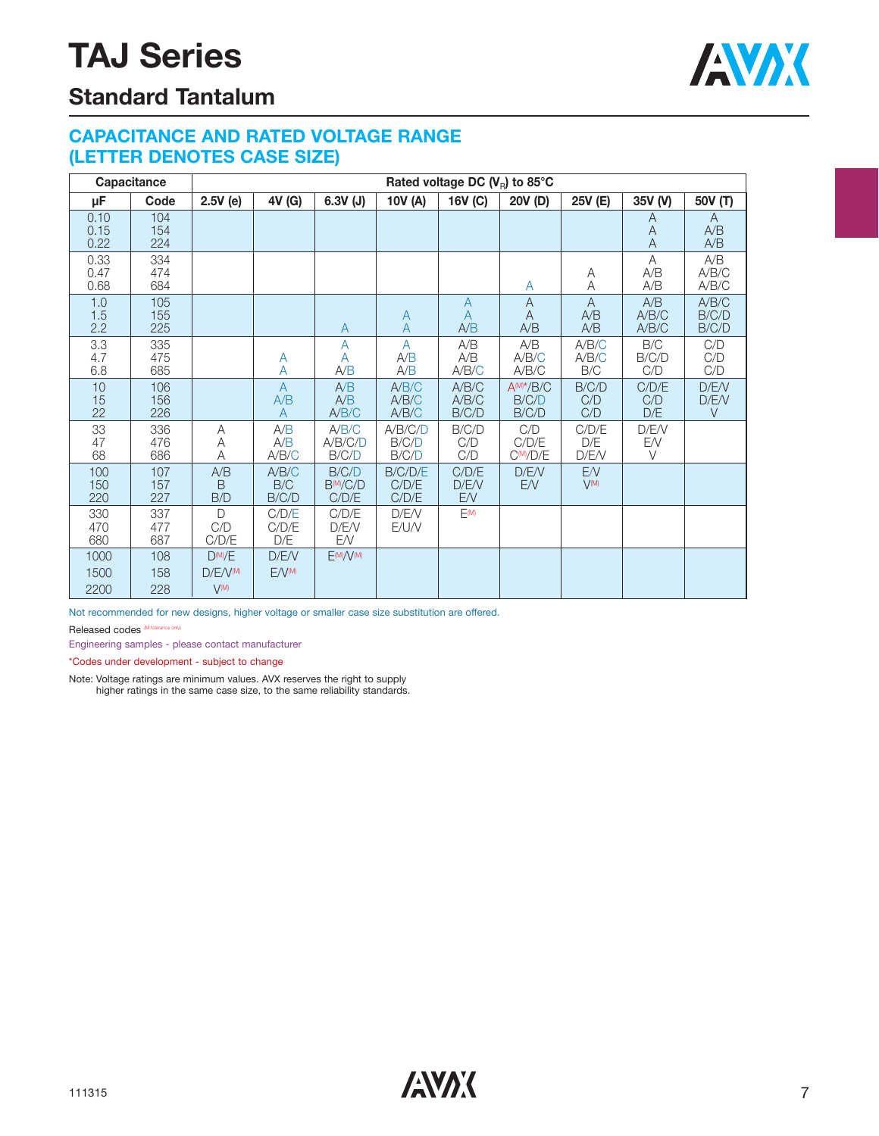

### **Standard Tantalum**

#### **CAPACITANCE AND RATED VOLTAGE RANGE (LETTER DENOTES CASE SIZE)**

|                      | Capacitance       |                                      |                            |                                         |                              | Rated voltage DC $(V_R)$ to 85°C        |                                  |                            |                          |                          |
|----------------------|-------------------|--------------------------------------|----------------------------|-----------------------------------------|------------------------------|-----------------------------------------|----------------------------------|----------------------------|--------------------------|--------------------------|
| μF                   | Code              | $2.5V$ (e)                           | 4V (G)                     | $6.3V$ (J)                              | 10V (A)                      | 16V (C)                                 | 20V (D)                          | 25V (E)                    | 35V (V)                  | 50V (T)                  |
| 0.10<br>0.15<br>0.22 | 104<br>154<br>224 |                                      |                            |                                         |                              |                                         |                                  |                            | A<br>A<br>$\overline{A}$ | A<br>A/B<br>A/B          |
| 0.33<br>0.47<br>0.68 | 334<br>474<br>684 |                                      |                            |                                         |                              |                                         | A                                | Α<br>Α                     | A<br>A/B<br>A/B          | A/B<br>A/B/C<br>A/B/C    |
| 1.0<br>1.5<br>2.2    | 105<br>155<br>225 |                                      |                            | A                                       | A<br>$\overline{A}$          | $\overline{A}$<br>$\overline{A}$<br>A/B | $\mathsf{A}$<br>A<br>A/B         | $\mathsf{A}$<br>A/B<br>A/B | A/B<br>A/B/C<br>A/B/C    | A/B/C<br>B/C/D<br>B/C/D  |
| 3.3<br>4.7<br>6.8    | 335<br>475<br>685 |                                      | A<br>А                     | A<br>A<br>A/B                           | $\overline{A}$<br>A/B<br>A/B | A/B<br>A/B<br>A/B/C                     | A/B<br>A/B/C<br>A/B/C            | A/B/C<br>A/B/C<br>B/C      | B/C<br>B/C/D<br>C/D      | C/D<br>C/D<br>C/D        |
| 10<br>15<br>22       | 106<br>156<br>226 |                                      | $\overline{A}$<br>A/B<br>A | A/B<br>A/B<br>A/B/C                     | A/B/C<br>A/B/C<br>A/B/C      | A/B/C<br>A/B/C<br>B/C/D                 | $A^{(M)*}/B/C$<br>B/C/D<br>B/C/D | B/C/D<br>C/D<br>C/D        | C/D/E<br>C/D<br>D/E      | D/E/V<br>D/E/V<br>$\vee$ |
| 33<br>47<br>68       | 336<br>476<br>686 | А<br>Α<br>Α                          | A/B<br>A/B<br>A/B/C        | A/B/C<br>A/B/C/D<br>B/C/D               | A/B/C/D<br>B/C/D<br>B/C/D    | B/C/D<br>C/D<br>C/D                     | C/D<br>C/D/E<br>$C^{M}/D/E$      | C/D/E<br>D/E<br>D/E/V      | D/E/V<br>E/V<br>V        |                          |
| 100<br>150<br>220    | 107<br>157<br>227 | A/B<br><sub>B</sub><br>B/D           | A/B/C<br>B/C<br>B/C/D      | B/C/D<br>B <sup>(M</sup> /C/D)<br>C/D/E | B/C/D/E<br>C/D/E<br>C/D/E    | C/D/E<br>D/E/V<br>E/V                   | D/E/V<br><b>EN</b>               | E/V<br>$V^{(M)}$           |                          |                          |
| 330<br>470<br>680    | 337<br>477<br>687 | $\bigcap$<br>C/D<br>C/D/E            | C/D/E<br>C/D/E<br>D/E      | C/D/E<br>D/E/V<br>EN                    | D/E/V<br>E/U/V               | F(M)                                    |                                  |                            |                          |                          |
| 1000<br>1500<br>2200 | 108<br>158<br>228 | $D^{(M)}/E$<br>D/F/V(M)<br>$V^{(M)}$ | D/E/V<br>$F/V^{M}$         | E(M)/V(M)                               |                              |                                         |                                  |                            |                          |                          |

Not recommended for new designs, higher voltage or smaller case size substitution are offered.

Released codes (M tolerance only)

Engineering samples - please contact manufacturer

\*Codes under development - subject to change

Note: Voltage ratings are minimum values. AVX reserves the right to supply higher ratings in the same case size, to the same reliability standards.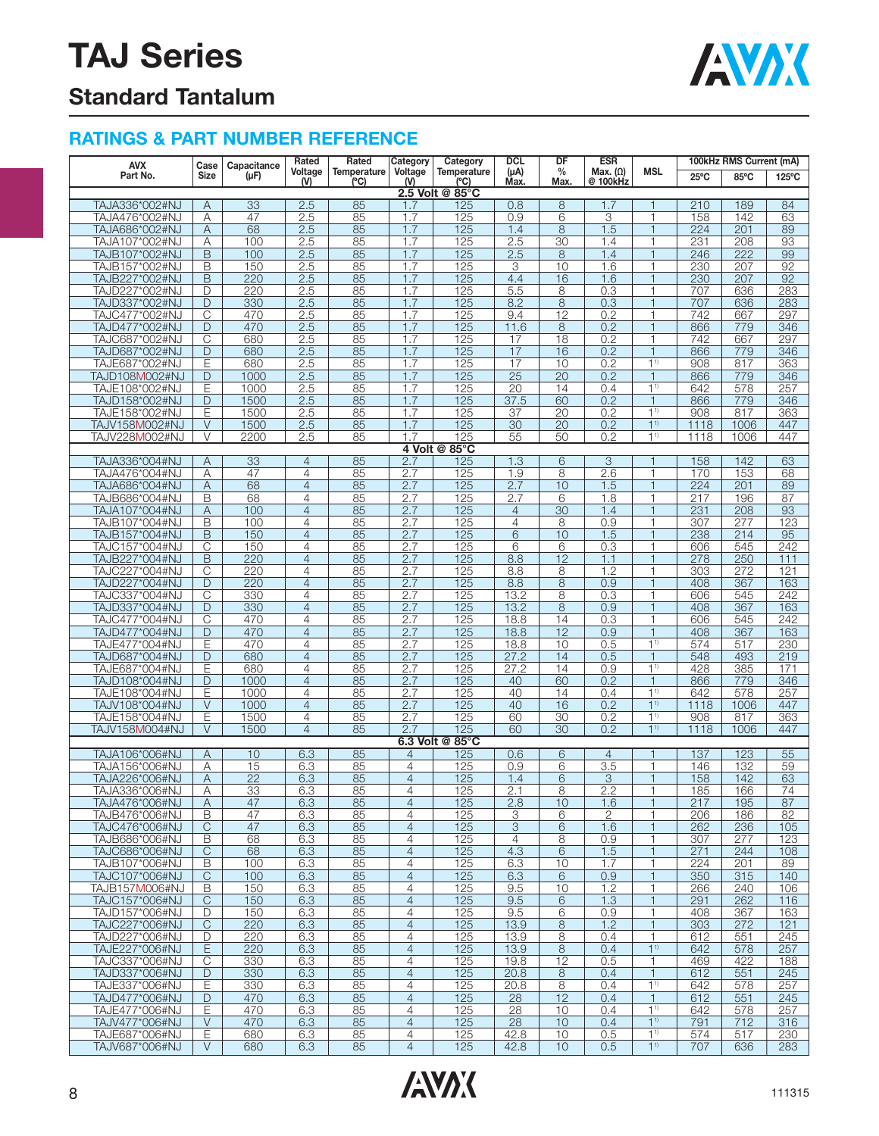

### **Standard Tantalum**

#### **RATINGS & PART NUMBER REFERENCE**

| AVX                              | Case           | Capacitance     | Rated          | Rated               | Category       | Category                               | <b>DCL</b>        | DF                    | <b>ESR</b>                  |                          | 100kHz RMS Current (mA) |                  |                 |  |
|----------------------------------|----------------|-----------------|----------------|---------------------|----------------|----------------------------------------|-------------------|-----------------------|-----------------------------|--------------------------|-------------------------|------------------|-----------------|--|
| Part No.                         | <b>Size</b>    | $(\mu F)$       | Voltage<br>(   | Temperature<br>(°C) | Voltage<br>(N) | Temperature<br>(°C)<br>2.5 Volt @ 85°C | $(\mu A)$<br>Max. | $\frac{0}{0}$<br>Max. | Max. $(\Omega)$<br>@ 100kHz | <b>MSL</b>               | $25^{\circ}$ C          | 85°C             | $125^{\circ}$ C |  |
| TAJA336*002#NJ                   | Α              | 33              | 2.5            | 85                  | 1.7            | 125                                    | 0.8               | 8                     | 1.7                         | 1                        | 210                     | 189              | 84              |  |
| TAJA476*002#NJ                   | Α              | 47              | 2.5            | 85                  | 1.7            | 125                                    | 0.9               | 6                     | 3                           | 1                        | 158                     | 142              | 63              |  |
| TAJA686*002#NJ                   | A              | 68              | 2.5            | 85                  | 1.7            | 125                                    | 1.4               | 8                     | 1.5                         | $\mathbf{1}$             | 224                     | 201              | 89              |  |
| TAJA107*002#NJ                   | Α              | 100             | 2.5            | 85                  | 1.7            | 125                                    | 2.5               | 30                    | 1.4                         | 1                        | 231                     | 208              | 93              |  |
| TAJB107*002#NJ                   | B              | 100             | 2.5            | 85                  | 1.7            | 125                                    | 2.5               | 8                     | 1.4                         | 1                        | 246                     | 222              | 99              |  |
| TAJB157*002#NJ                   | B              | 150             | 2.5            | 85                  | 1.7            | 125                                    | 3                 | 10                    | 1.6                         | 1                        | 230                     | 207              | 92              |  |
| TAJB227*002#NJ                   | B              | 220             | 2.5            | 85                  | 1.7            | 125                                    | 4.4               | 16                    | 1.6                         | 1                        | 230                     | $\overline{207}$ | 92              |  |
| TAJD227*002#NJ                   | D              | 220             | 2.5            | 85                  | 1.7            | 125                                    | 5.5               | 8                     | 0.3                         | 1                        | 707                     | 636              | 283             |  |
| TAJD337*002#NJ                   | D              | 330             | 2.5            | 85                  | 1.7            | 125                                    | 8.2               | 8                     | 0.3                         | $\mathbf{1}$             | 707                     | 636              | 283             |  |
| TAJC477*002#NJ                   | C              | 470             | 2.5            | 85                  | 1.7            | 125                                    | 9.4               | $\overline{12}$       | 0.2                         | 1                        | 742                     | 667              | 297             |  |
| TAJD477*002#NJ                   | D              | 470             | 2.5            | 85                  | 1.7            | 125                                    | 11.6              | 8                     | 0.2                         | 1                        | 866                     | 779              | 346             |  |
| TAJC687*002#NJ                   | C              | 680             | 2.5            | 85                  | 1.7            | 125                                    | 17                | 18                    | 0.2                         | 1                        | 742                     | 667              | 297             |  |
| TAJD687*002#NJ                   | D              | 680             | 2.5            | 85                  | 1.7            | 125                                    | 17                | 16                    | 0.2                         | 1                        | 866                     | 779              | 346             |  |
| TAJE687*002#NJ                   | Ε              | 680             | 2.5            | 85                  | 1.7            | 125                                    | 17                | 10                    | 0.2                         | 11                       | 908                     | 817              | 363             |  |
| TAJD108M002#NJ                   | D              | 1000            | 2.5            | 85                  | 1.7            | 125                                    | $\overline{25}$   | 20                    | 0.2                         | $\mathbf{1}$             | 866                     | 779              | 346             |  |
| TAJE108*002#NJ                   | E              | 1000            | 2.5            | 85                  | 1.7            | 125                                    | 20                | 14                    | 0.4                         | 1 <sup>1</sup>           | 642                     | 578              | 257             |  |
| TAJD158*002#NJ                   | D              | 1500            | 2.5            | 85                  | 1.7            | 125                                    | 37.5              | 60                    | 0.2                         | $\mathbf{1}$             | 866                     | 779              | 346             |  |
|                                  | Ε              |                 |                |                     | 1.7            |                                        | 37                | 20                    |                             | 1 <sup>1</sup>           |                         | 817              |                 |  |
| TAJE158*002#NJ<br>TAJV158M002#NJ | $\vee$         | 1500<br>1500    | 2.5            | 85                  | 1.7            | 125<br>125                             | $\overline{30}$   | 20                    | 0.2<br>0.2                  | 1 <sup>1</sup>           | 908                     |                  | 363<br>447      |  |
|                                  |                | 2200            | 2.5<br>2.5     | 85                  | 1.7            |                                        |                   |                       |                             | 1 <sup>1</sup>           | 1118                    | 1006             | 447             |  |
| TAJV228M002#NJ                   | V              |                 |                | 85                  |                | 125<br>4 Volt @ 85°C                   | 55                | 50                    | 0.2                         |                          | 1118                    | 1006             |                 |  |
|                                  |                |                 |                |                     |                |                                        |                   |                       |                             |                          |                         |                  |                 |  |
| TAJA336*004#NJ                   | Α              | 33              | $\overline{4}$ | 85                  | 2.7            | 125                                    | 1.3               | 6                     | 3                           | 1<br>1                   | 158                     | 142              | 63              |  |
| TAJA476*004#NJ                   | Α              | 47              | 4              | 85                  | 2.7            | 125                                    | 1.9               | 8                     | 2.6                         |                          | 170                     | 153              | 68              |  |
| TAJA686*004#NJ                   | A              | 68              | $\overline{4}$ | 85                  | 2.7            | 125                                    | 2.7               | 10                    | 1.5                         | $\mathbf{1}$             | 224                     | 201              | 89              |  |
| TAJB686*004#NJ                   | Β              | 68              | 4              | 85                  | 2.7            | 125                                    | 2.7               | 6                     | 1.8                         | 1                        | 217                     | 196              | 87              |  |
| TAJA107*004#NJ                   | Α              | 100             | $\overline{4}$ | 85                  | 2.7            | 125                                    | $\overline{4}$    | $\overline{30}$       | 1.4                         | $\mathbf{1}$             | 231                     | 208              | 93              |  |
| TAJB107*004#NJ                   | B              | 100             | $\overline{4}$ | 85                  | 2.7            | 125                                    | $\overline{4}$    | 8                     | 0.9                         | 1                        | 307                     | 277              | 123             |  |
| TAJB157*004#NJ                   | $\overline{B}$ | 150             | $\overline{4}$ | 85                  | 2.7            | 125                                    | 6                 | 10                    | 1.5                         | $\overline{\phantom{a}}$ | 238                     | 214              | 95              |  |
| TAJC157*004#NJ                   | C              | 150             | $\overline{4}$ | 85                  | 2.7            | 125                                    | 6                 | 6                     | 0.3                         | 1                        | 606                     | 545              | 242             |  |
| TAJB227*004#NJ                   | B              | 220             | $\overline{4}$ | 85                  | 2.7            | 125                                    | 8.8               | 12                    | 1.1                         | 1                        | 278                     | 250              | 111             |  |
| TAJC227*004#NJ                   | C              | 220             | 4              | 85                  | 2.7            | 125                                    | 8.8               | 8                     | 1.2                         | 1                        | 303                     | 272              | 121             |  |
| TAJD227*004#NJ                   | D              | 220             | $\overline{4}$ | 85                  | 2.7            | 125                                    | 8.8               | 8                     | 0.9                         | 1                        | 408                     | 367              | 163             |  |
| TAJC337*004#NJ                   | C              | 330             | $\overline{4}$ | 85                  | 2.7            | 125                                    | 13.2              | 8                     | 0.3                         | 1                        | 606                     | 545              | 242             |  |
| TAJD337*004#NJ                   | D              | 330             | $\overline{4}$ | 85                  | 2.7            | 125                                    | 13.2              | 8                     | 0.9                         | $\mathbf{1}$             | 408                     | 367              | 163             |  |
| TAJC477*004#NJ                   | C              | 470             | 4              | 85                  | 2.7            | 125                                    | 18.8              | 14                    | 0.3                         | 1                        | 606                     | 545              | 242             |  |
| TAJD477*004#NJ                   | D              | 470             | $\overline{4}$ | 85                  | 2.7            | 125                                    | 18.8              | 12                    | 0.9                         | $\mathbf{1}$             | 408                     | 367              | 163             |  |
| TAJE477*004#NJ                   | Ε              | 470             | 4              | 85                  | 2.7            | 125                                    | 18.8              | 10                    | 0.5                         | 1 <sup>1</sup>           | 574                     | 517              | 230             |  |
| TAJD687*004#NJ                   | D              | 680             | $\overline{4}$ | 85                  | 2.7            | 125                                    | 27.2              | 14                    | 0.5                         | $\mathbf{1}$             | 548                     | 493              | 219             |  |
| TAJE687*004#NJ                   | Ε              | 680             | $\overline{4}$ | 85                  | 2.7            | 125                                    | 27.2              | 14                    | 0.9                         | 1 <sup>1</sup>           | 428                     | 385              | 171             |  |
| TAJD108*004#NJ                   | D              | 1000            | $\overline{4}$ | 85                  | 2.7            | 125                                    | 40                | 60                    | 0.2                         | $\mathbf{1}$             | 866                     | 779              | 346             |  |
| TAJE108*004#NJ                   | Ε              | 1000            | $\overline{4}$ | 85                  | 2.7            | 125                                    | 40                | 14                    | 0.4                         | 11                       | 642                     | 578              | 257             |  |
| TAJV108*004#NJ                   | V              | 1000            | $\overline{4}$ | 85                  | 2.7            | 125                                    | 40                | 16                    | 0.2                         | 1 <sup>1</sup>           | 1118                    | 1006             | 447             |  |
| TAJE158*004#NJ                   | E              | 1500            | 4              | 85                  | 2.7            | 125                                    | 60                | 30                    | 0.2                         | 1 <sup>1</sup>           | 908                     | 817              | 363             |  |
| TAJV158M004#NJ                   | V              | 1500            | $\overline{4}$ | 85                  | 2.7            | 125                                    | 60                | $\overline{30}$       | 0.2                         | 1 <sup>1</sup>           | 1118                    | 1006             | 447             |  |
|                                  |                |                 |                |                     |                | 6.3 Volt @ 85°C                        |                   |                       |                             |                          |                         |                  |                 |  |
| TAJA106*006#NJ                   | Α              | 10              | 6.3            | 85                  | 4              | 125                                    | 0.6               | 6                     | $\overline{4}$              | $\mathbf{1}$             | 137                     | 123              | 55              |  |
| TAJA156*006#NJ                   | Α              | 15              | 6.3            | 85                  | 4              | 125                                    | 0.9               | 6                     | 3.5                         | 1                        | 146                     | 132              | 59              |  |
| TAJA226*006#NJ                   | A              | $\overline{22}$ | 6.3            | 85                  | $\overline{4}$ | 125                                    | 1.4               | 6                     | 3                           | $\mathbf{1}$             | 158                     | 142              | 63              |  |
| TAJA336*006#NJ                   | Α              | 33              | 6.3            | 85                  | 4              | 125                                    | 2.1               | 8                     | 2.2                         | 1                        | 185                     | 166              | 74              |  |
| TAJA476*006#NJ                   | A              | 47              | 6.3            | 85                  | 4              | 125                                    | 2.8               | 10                    | 1.6                         | 1                        | 217                     | 195              | 87              |  |
| TAJB476*006#NJ                   | B              | 47              | 6.3            | 85                  | 4              | 125                                    | 3                 | 6                     | $\mathbf{2}$                | 1                        | 206                     | 186              | 82              |  |
| TAJC476*006#NJ                   | C              | 47              | 6.3            | 85                  | $\overline{4}$ | 125                                    | $\overline{3}$    | 6                     | 1.6                         | 1                        | 262                     | 236              | 105             |  |
| TAJB686*006#NJ                   | B              | 68              | 6.3            | 85                  | 4              | 125                                    | 4                 | 8                     | 0.9                         | 1                        | 307                     | 277              | 123             |  |
| TAJC686*006#NJ                   | C              | 68              | 6.3            | 85                  | $\overline{4}$ | 125                                    | 4.3               | 6                     | 1.5                         | $\mathbf{1}$             | 271                     | 244              | 108             |  |
| TAJB107*006#NJ                   | B              | 100             | 6.3            | 85                  | 4              | 125                                    | 6.3               | 10                    | 1.7                         | 1                        | 224                     | 201              | 89              |  |
| TAJC107*006#NJ                   | C              | 100             | 6.3            | 85                  | $\overline{4}$ | 125                                    | 6.3               | 6                     | 0.9                         | $\mathbf{1}$             | 350                     | 315              | 140             |  |
| TAJB157M006#NJ                   | В              | 150             | 6.3            | 85                  | 4              | 125                                    | 9.5               | 10                    | 1.2                         | 1                        | 266                     | 240              | 106             |  |
| TAJC157*006#NJ                   | $\overline{C}$ | 150             | 6.3            | 85                  | $\overline{4}$ | 125                                    | 9.5               | 6                     | 1.3                         | $\mathbf{1}$             | 291                     | 262              | 116             |  |
| TAJD157*006#NJ                   | D              | 150             | 6.3            | 85                  | 4              | 125                                    | 9.5               | 6                     | 0.9                         | 1                        | 408                     | 367              | 163             |  |
| TAJC227*006#NJ                   | $\mathsf{C}$   | 220             | 6.3            | 85                  | $\overline{4}$ | 125                                    | 13.9              | 8                     | 1.2                         | $\mathbf{1}$             | 303                     | 272              | 121             |  |
| TAJD227*006#NJ                   | D              | 220             | 6.3            | 85                  | 4              | 125                                    | 13.9              | 8                     | 0.4                         | 1                        | 612                     | 551              | 245             |  |
| TAJE227*006#NJ                   | E              | 220             | 6.3            | 85                  | $\overline{4}$ | 125                                    | 13.9              | 8                     | 0.4                         | 1 <sup>1</sup>           | 642                     | 578              | 257             |  |
| TAJC337*006#NJ                   | C              | 330             | 6.3            | 85                  | 4              | 125                                    | 19.8              | 12                    | 0.5                         | $\mathbf{1}$             | 469                     | 422              | 188             |  |
| TAJD337*006#NJ                   | D              | 330             | 6.3            | 85                  | $\overline{4}$ | 125                                    | 20.8              | 8                     | 0.4                         | $\mathbf{1}$             | 612                     | 551              | 245             |  |
| TAJE337*006#NJ                   | Ε              | 330             | 6.3            | 85                  | 4              | 125                                    | 20.8              | 8                     | 0.4                         | 1 <sup>1</sup>           | 642                     | 578              | 257             |  |
| TAJD477*006#NJ                   | D              | 470             | 6.3            | 85                  | $\overline{4}$ | 125                                    | 28                | 12                    | 0.4                         | $\mathbf{1}$             | 612                     | 551              | 245             |  |
| TAJE477*006#NJ                   | Е              | 470             | 6.3            | 85                  | $\overline{4}$ | 125                                    | 28                | 10                    | 0.4                         | $1^{1}$                  | 642                     | 578              | 257             |  |
| TAJV477*006#NJ                   | V              | 470             | 6.3            | 85                  | $\overline{4}$ | 125                                    | 28                | 10                    | 0.4                         | 1 <sup>1</sup>           | 791                     | 712              | 316             |  |
| TAJE687*006#NJ                   | Е              | 680             | 6.3            | 85                  | 4              | 125                                    | 42.8              | 10                    | 0.5                         | 1 <sup>1</sup>           | 574                     | 517              | 230             |  |
| TAJV687*006#NJ                   | V              | 680             | 6.3            | 85                  | $\overline{4}$ | 125                                    | 42.8              | 10                    | 0.5                         | 1 <sup>1</sup>           | 707                     | 636              | 283             |  |

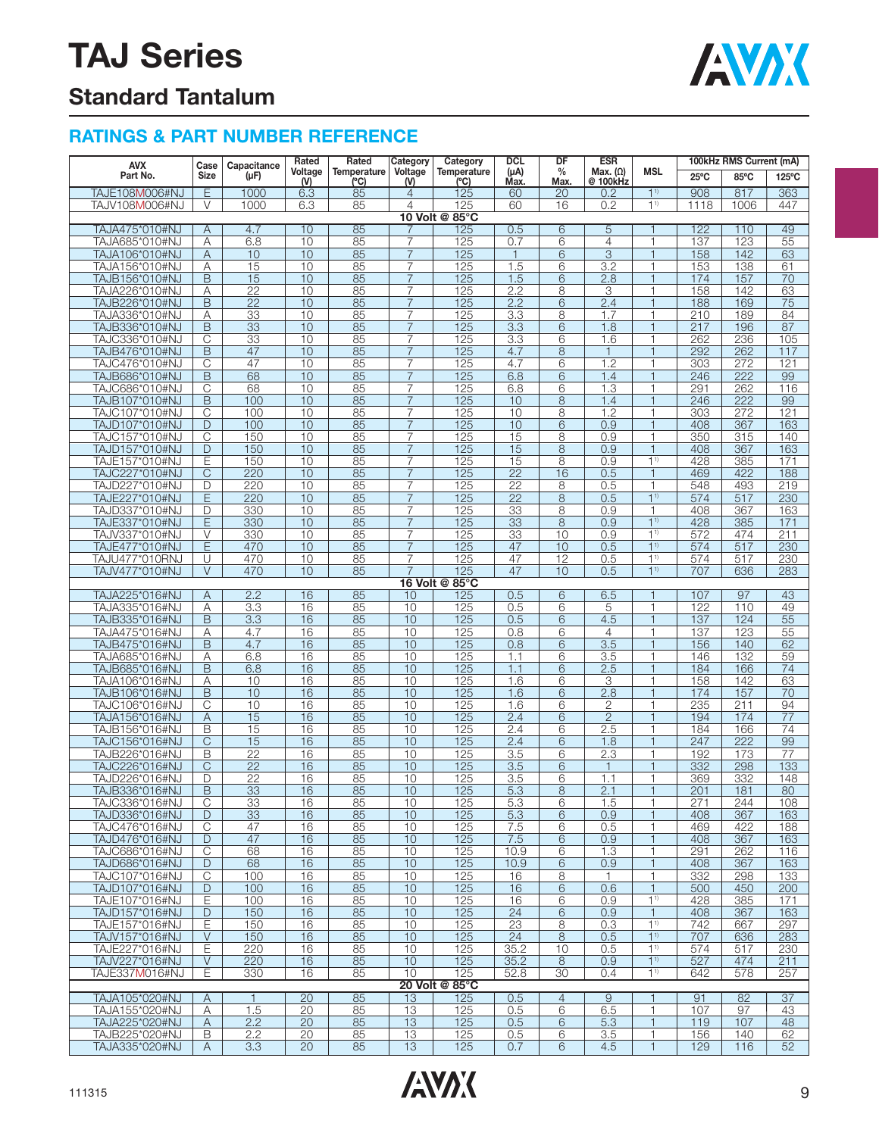

### **Standard Tantalum**

#### **RATINGS & PART NUMBER REFERENCE**

| <b>AVX</b>                       | Case                       | Capacitance           | Rated<br>Rated<br>Voltage<br>Temperature | Category | Category<br><b>DCL</b><br>Voltage<br>$(\mu A)$<br><b>Temperature</b> | DF<br><b>ESR</b><br>$\%$<br>Max. $(\Omega)$ |                 | 100kHz RMS Current (mA) |                  |                                |                  |            |                 |
|----------------------------------|----------------------------|-----------------------|------------------------------------------|----------|----------------------------------------------------------------------|---------------------------------------------|-----------------|-------------------------|------------------|--------------------------------|------------------|------------|-----------------|
| Part No.                         | Size                       | $(\mu F)$             | (V)                                      | (°C)     | ( V )                                                                | (°C)                                        | Max.            | Max.                    | @ 100kHz         | <b>MSL</b>                     | $25^{\circ}$ C   | 85°C       | 125°C           |
| <b>TAJE108M006#NJ</b>            | Ε                          | 1000                  | 6.3                                      | 85       | $\overline{4}$                                                       | 125                                         | 60              | 20                      | 0.2              | $1^{1}$                        | 908              | 817        | 363             |
| TAJV108M006#NJ                   | V                          | 1000                  | 6.3                                      | 85       | 4                                                                    | 125                                         | 60              | 16                      | 0.2              | 1 <sup>1</sup>                 | 1118             | 1006       | 447             |
|                                  |                            |                       |                                          |          |                                                                      | 10 Volt @ 85°C                              |                 |                         |                  |                                |                  |            |                 |
| TAJA475*010#NJ                   | Α                          | 4.7                   | 10                                       | 85       |                                                                      | 125                                         | 0.5             | $\overline{6}$          | 5                |                                | 122              | 110        | 49              |
| TAJA685*010#NJ                   | Α                          | 6.8                   | 10                                       | 85       | $\overline{7}$                                                       | 125                                         | 0.7             | 6                       | $\overline{4}$   | $\mathbf{1}$                   | 137              | 123        | 55              |
| TAJA106*010#NJ                   | Α                          | 10                    | 10                                       | 85       | $\overline{7}$                                                       | 125                                         | $\mathbf{1}$    | 6                       | $\overline{3}$   | $\mathbf{1}$                   | 158              | 142        | 63              |
| TAJA156*010#NJ                   | Α                          | 15                    | 10                                       | 85       | $\overline{7}$                                                       | 125                                         | 1.5             | 6                       | 3.2              | 1                              | 153              | 138        | 61              |
| TAJB156*010#NJ<br>TAJA226*010#NJ | B<br>Α                     | 15<br>$\overline{22}$ | 10<br>10                                 | 85<br>85 | $\overline{7}$<br>7                                                  | 125<br>125                                  | 1.5<br>2.2      | 6<br>8                  | 2.8<br>3         | $\mathbf{1}$<br>1              | 174<br>158       | 157<br>142 | 70<br>63        |
| TAJB226*010#NJ                   | B                          | $\overline{22}$       | 10                                       | 85       | 7                                                                    | 125                                         | 2.2             | 6                       | 2.4              | $\overline{1}$                 | 188              | 169        | 75              |
| TAJA336*010#NJ                   | Α                          | 33                    | 10                                       | 85       | 7                                                                    | 125                                         | 3.3             | 8                       | 1.7              | 1                              | 210              | 189        | 84              |
| TAJB336*010#NJ                   | B                          | 33                    | 10                                       | 85       | $\overline{7}$                                                       | 125                                         | 3.3             | 6                       | 1.8              | $\mathbf{1}$                   | 217              | 196        | 87              |
| TAJC336*010#NJ                   | $\overline{\mathrm{C}}$    | 33                    | 10                                       | 85       | $\overline{7}$                                                       | 125                                         | 3.3             | 6                       | 1.6              | 1                              | 262              | 236        | 105             |
| TAJB476*010#NJ                   | B                          | 47                    | 10                                       | 85       | $\overline{7}$                                                       | 125                                         | 4.7             | 8                       | $\mathbf{1}$     | $\overline{1}$                 | 292              | 262        | 117             |
| TAJC476*010#NJ                   | С                          | 47                    | 10                                       | 85       | 7                                                                    | 125                                         | 4.7             | 6                       | 1.2              | 1                              | 303              | 272        | 121             |
| TAJB686*010#NJ                   | B                          | 68                    | 10                                       | 85       | $\overline{7}$                                                       | 125                                         | 6.8             | 6                       | 1.4              | $\overline{1}$                 | 246              | 222        | 99              |
| TAJC686*010#NJ                   | C                          | 68                    | 10                                       | 85       | 7                                                                    | 125                                         | 6.8             | 6                       | 1.3              | 1                              | 291              | 262        | 116             |
| TAJB107*010#NJ                   | B                          | 100                   | 10                                       | 85       | $\overline{7}$                                                       | 125                                         | 10              | 8                       | 1.4              | $\mathbf{1}$                   | 246              | 222        | 99              |
| TAJC107*010#NJ                   | $\overline{C}$             | 100                   | 10                                       | 85       | $\overline{7}$                                                       | 125                                         | 10              | 8                       | 1.2              | 1                              | 303              | 272        | 121             |
| TAJD107*010#NJ                   | D<br>$\overline{\text{C}}$ | 100                   | 10                                       | 85       | $\overline{7}$                                                       | 125                                         | 10              | 6                       | 0.9              | $\mathbf{1}$<br>1              | 408              | 367        | 163             |
| TAJC157*010#NJ<br>TAJD157*010#NJ | D                          | 150<br>150            | 10<br>10                                 | 85<br>85 | 7<br>7                                                               | 125<br>125                                  | 15<br>15        | 8<br>8                  | 0.9<br>0.9       | $\mathbf{1}$                   | 350<br>408       | 315<br>367 | 140<br>163      |
| TAJE157*010#NJ                   | Ε                          | 150                   | 10                                       | 85       | $\overline{7}$                                                       | 125                                         | 15              | 8                       | 0.9              | 1 <sup>1</sup>                 | 428              | 385        | 171             |
| TAJC227*010#NJ                   | C                          | 220                   | 10                                       | 85       | $\overline{7}$                                                       | 125                                         | $\overline{22}$ | 16                      | 0.5              | $\mathbf{1}$                   | 469              | 422        | 188             |
| TAJD227*010#NJ                   | D                          | 220                   | 10                                       | 85       | $\overline{7}$                                                       | 125                                         | $\overline{22}$ | 8                       | 0.5              | 1                              | 548              | 493        | 219             |
| TAJE227*010#NJ                   | E                          | 220                   | 10                                       | 85       | $\overline{7}$                                                       | 125                                         | $\overline{22}$ | 8                       | 0.5              | 1 <sup>1</sup>                 | 574              | 517        | 230             |
| TAJD337*010#NJ                   | D                          | 330                   | 10                                       | 85       | 7                                                                    | 125                                         | 33              | 8                       | 0.9              | 1                              | 408              | 367        | 163             |
| TAJE337*010#NJ                   | E                          | 330                   | 10                                       | 85       | $\overline{7}$                                                       | 125                                         | 33              | 8                       | 0.9              | 1 <sup>1</sup>                 | 428              | 385        | 171             |
| TAJV337*010#NJ                   | $\vee$                     | 330                   | 10                                       | 85       | 7                                                                    | 125                                         | 33              | 10                      | 0.9              | 1 <sup>1</sup>                 | 572              | 474        | 211             |
| TAJE477*010#NJ                   | E                          | 470                   | 10                                       | 85       | $\overline{7}$                                                       | 125                                         | 47              | 10                      | 0.5              | 1 <sup>1</sup>                 | 574              | 517        | 230             |
| TAJU477*010RNJ                   | U                          | 470                   | 10                                       | 85       | $\overline{7}$                                                       | 125                                         | 47              | 12                      | 0.5              | 1 <sup>1</sup>                 | 574              | 517        | 230             |
| TAJV477*010#NJ                   | $\vee$                     | 470                   | 10                                       | 85       | $\overline{7}$                                                       | 125                                         | 47              | 10                      | 0.5              | 1 <sup>1</sup>                 | 707              | 636        | 283             |
| TAJA225*016#NJ                   | Α                          | 2.2                   | $\overline{16}$                          | 85       | 10                                                                   | 16 Volt @ 85°C<br>125                       | 0.5             | $\overline{6}$          | 6.5              | 1                              | 107              | 97         | 43              |
| TAJA335*016#NJ                   | Α                          | 3.3                   | 16                                       | 85       | 10                                                                   | 125                                         | 0.5             | 6                       | 5                | $\mathbf{1}$                   | 122              | 110        | 49              |
| TAJB335*016#NJ                   | B                          | 3.3                   | 16                                       | 85       | 10                                                                   | 125                                         | 0.5             | 6                       | 4.5              | $\mathbf{1}$                   | 137              | 124        | $\overline{55}$ |
| TAJA475*016#NJ                   | Α                          | 4.7                   | 16                                       | 85       | 10                                                                   | 125                                         | 0.8             | 6                       | $\overline{4}$   | $\mathbf{1}$                   | 137              | 123        | 55              |
| TAJB475*016#NJ                   | B                          | 4.7                   | 16                                       | 85       | 10                                                                   | 125                                         | 0.8             | 6                       | $\overline{3.5}$ | $\mathbf{1}$                   | 156              | 140        | 62              |
| TAJA685*016#NJ                   | Α                          | 6.8                   | 16                                       | 85       | 10                                                                   | 125                                         | 1.1             | 6                       | 3.5              | 1                              | 146              | 132        | 59              |
| TAJB685*016#NJ                   | B                          | 6.8                   | 16                                       | 85       | 10                                                                   | 125                                         | 1.1             | 6                       | 2.5              | $\overline{1}$                 | 184              | 166        | 74              |
| TAJA106*016#NJ                   | Α                          | 10                    | 16                                       | 85       | 10                                                                   | 125                                         | 1.6             | 6                       | 3                | 1                              | 158              | 142        | 63              |
| TAJB106*016#NJ                   | B                          | 10                    | 16                                       | 85       | 10                                                                   | 125                                         | 1.6             | 6                       | 2.8              | $\mathbf{1}$                   | 174              | 157        | 70              |
| TAJC106*016#NJ                   | $\overline{C}$             | 10                    | 16                                       | 85       | 10                                                                   | 125                                         | 1.6             | 6                       | 2                | 1                              | 235              | 211        | 94              |
| TAJA156*016#NJ                   | Α                          | 15                    | 16                                       | 85       | 10                                                                   | 125                                         | 2.4             | 6                       | $\overline{2}$   | $\mathbf{1}$                   | 194              | 174        | 77              |
| TAJB156*016#NJ                   | B                          | 15                    | 16                                       | 85       | 10                                                                   | 125                                         | 2.4             | 6                       | 2.5              | 1<br>$\overline{1}$            | 184              | 166        | 74              |
| TAJC156*016#NJ<br>TAJB226*016#NJ | $\overline{C}$<br>B        | 15<br>22              | 16<br>16                                 | 85<br>85 | 10<br>10                                                             | 125<br>125                                  | 2.4<br>3.5      | 6<br>6                  | 1.8<br>2.3       | 1                              | 247<br>192       | 222<br>173 | 99<br>77        |
| TAJC226*016#NJ                   | C                          | 22                    | 16                                       | 85       | 10                                                                   | 125                                         | 3.5             | 6                       | $\mathbf{1}$     | $\mathbf{1}$                   | 332              | 298        | 133             |
| TAJD226*016#NJ                   | D                          | 22                    | 16                                       | 85       | 10                                                                   | 125                                         | 3.5             | 6                       | 1.1              | 1                              | 369              | 332        | 148             |
| TAJB336*016#NJ                   | B                          | 33                    | 16                                       | 85       | 10                                                                   | 125                                         | 5.3             | 8                       | 2.1              | $\mathbf{1}$                   | 201              | 181        | 80              |
| IAJC336^016#NJ                   | U                          | 33                    | 16                                       | 85       | 10                                                                   | 125                                         | 5.3             | 6                       | 1.5              |                                | 271              | 244        | 108             |
| TAJD336*016#NJ                   | D                          | 33                    | 16                                       | 85       | 10                                                                   | 125                                         | 5.3             | 6                       | 0.9              | $\mathbf{1}$                   | 408              | 367        | 163             |
| TAJC476*016#NJ                   | С                          | 47                    | 16                                       | 85       | 10                                                                   | 125                                         | 7.5             | 6                       | 0.5              | 1                              | 469              | 422        | 188             |
| TAJD476*016#NJ                   | D                          | 47                    | 16                                       | 85       | 10                                                                   | 125                                         | 7.5             | 6                       | 0.9              | $\mathbf{1}$                   | 408              | 367        | 163             |
| TAJC686*016#NJ                   | $\overline{C}$             | 68                    | 16                                       | 85       | 10                                                                   | 125                                         | 10.9            | 6                       | 1.3              | $\mathbf{1}$                   | 291              | 262        | 116             |
| TAJD686*016#NJ                   | D                          | 68                    | 16                                       | 85       | 10                                                                   | 125                                         | 10.9            | 6                       | 0.9              | $\mathbf{1}$                   | 408              | 367        | 163             |
| TAJC107*016#NJ                   | $\overline{\text{C}}$      | 100                   | 16                                       | 85       | 10                                                                   | 125                                         | 16              | 8                       | $\mathbf{1}$     | 1                              | 332              | 298        | 133             |
| TAJD107*016#NJ                   | D                          | 100                   | 16                                       | 85       | 10                                                                   | 125                                         | 16              | 6                       | 0.6              | $\mathbf{1}$                   | 500              | 450        | 200             |
| TAJE107*016#NJ<br>TAJD157*016#NJ | Ε<br>D                     | 100<br>150            | 16<br>16                                 | 85<br>85 | 10<br>10                                                             | 125<br>125                                  | 16<br>24        | 6<br>6                  | 0.9<br>0.9       | 1 <sup>1</sup><br>$\mathbf{1}$ | 428<br>408       | 385<br>367 | 171<br>163      |
| TAJE157*016#NJ                   | Ε                          | 150                   | 16                                       | 85       | 10                                                                   | 125                                         | 23              | 8                       | 0.3              | 1 <sup>1</sup>                 | $\overline{742}$ | 667        | 297             |
| TAJV157*016#NJ                   | $\vee$                     | 150                   | 16                                       | 85       | 10                                                                   | 125                                         | 24              | 8                       | 0.5              | 1 <sup>1</sup>                 | 707              | 636        | 283             |
| TAJE227*016#NJ                   | Ε                          | 220                   | 16                                       | 85       | 10                                                                   | 125                                         | 35.2            | 10                      | 0.5              | 1 <sup>1</sup>                 | 574              | 517        | 230             |
| TAJV227*016#NJ                   | $\vee$                     | 220                   | 16                                       | 85       | 10                                                                   | 125                                         | 35.2            | 8                       | 0.9              | 1 <sup>1</sup>                 | 527              | 474        | 211             |
| TAJE337M016#NJ                   | Е                          | 330                   | 16                                       | 85       | 10                                                                   | 125                                         | 52.8            | 30                      | 0.4              | 1 <sup>1</sup>                 | 642              | 578        | 257             |
|                                  |                            |                       |                                          |          |                                                                      | 20 Volt @ 85°C                              |                 |                         |                  |                                |                  |            |                 |
| TAJA105*020#NJ                   | A                          | $\mathbf{1}$          | $\overline{20}$                          | 85       | 13                                                                   | 125                                         | 0.5             | $\overline{4}$          | 9                | $\mathbf{1}$                   | 91               | 82         | 37              |
| TAJA155*020#NJ                   | Α                          | 1.5                   | 20                                       | 85       | 13                                                                   | 125                                         | 0.5             | 6                       | 6.5              | 1                              | 107              | 97         | 43              |
| TAJA225*020#NJ                   | $\mathsf{A}$               | 2.2                   | 20                                       | 85       | 13                                                                   | 125                                         | 0.5             | 6                       | 5.3              | $\mathbf{1}$                   | 119              | 107        | 48              |
| TAJB225*020#NJ                   | В                          | 2.2                   | 20                                       | 85       | 13                                                                   | 125                                         | 0.5             | 6                       | 3.5              | 1                              | 156              | 140        | 62              |
| TAJA335*020#NJ                   | A                          | 3.3                   | 20                                       | 85       | 13                                                                   | 125                                         | 0.7             | 6                       | 4.5              | $\mathbf{1}$                   | 129              | 116        | 52              |

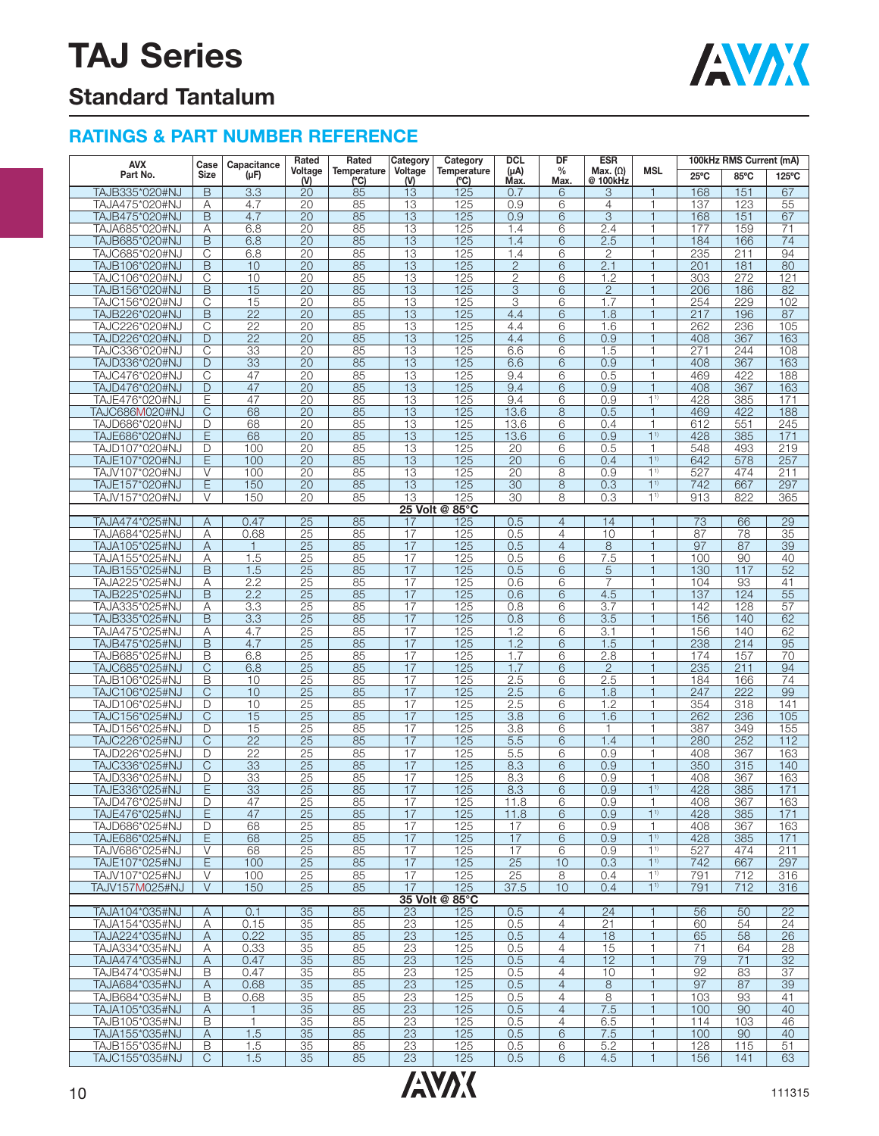

## **Standard Tantalum**

### **RATINGS & PART NUMBER REFERENCE**

| <b>AVX</b>                       | Case                       | Capacitance           | Rated                 | Rated<br>Temperature | Category              | Category                  | <b>DCL</b>            | DF                               | <b>ESR</b>                  |                               |                | 100kHz RMS Current (mA) |                 |
|----------------------------------|----------------------------|-----------------------|-----------------------|----------------------|-----------------------|---------------------------|-----------------------|----------------------------------|-----------------------------|-------------------------------|----------------|-------------------------|-----------------|
| Part No.                         | <b>Size</b>                | $(\mu F)$             | Voltage<br>(N)        | (°C)                 | Voltage<br>(V)        | <b>Temperature</b><br>(C) | $(\mu A)$<br>Max.     | $\%$<br>Max.                     | Max. $(\Omega)$<br>@ 100kHz | <b>MSL</b>                    | $25^{\circ}$ C | 85°C                    | 125°C           |
| TAJB335*020#NJ                   | B                          | 3.3                   | 20                    | 85                   | 13                    | 125                       | 0.7                   | 6                                | 3                           | 1                             | 168            | 151                     | 67              |
| TAJA475*020#NJ                   | Α                          | 4.7                   | 20                    | 85                   | 13                    | 125                       | 0.9                   | 6                                | $\overline{4}$              | $\mathbf{1}$                  | 137            | 123                     | 55              |
| TAJB475*020#NJ                   | B                          | 4.7                   | 20                    | 85                   | 13                    | 125                       | 0.9                   | 6                                | 3                           | $\mathbf{1}$                  | 168            | 151                     | 67              |
| TAJA685*020#NJ                   | Α                          | 6.8                   | $\overline{20}$       | 85                   | 13                    | 125                       | 1.4                   | 6                                | 2.4                         | 1                             | 177            | 159                     | 71              |
| TAJB685*020#NJ                   | B                          | 6.8                   | $\overline{20}$       | 85                   | 13                    | 125                       | 1.4                   | 6                                | 2.5                         | $\overline{\phantom{a}}$      | 184            | 166                     | 74              |
| TAJC685*020#NJ<br>TAJB106*020#NJ | C<br>B                     | 6.8<br>10             | 20<br>$\overline{20}$ | 85<br>85             | 13<br>13              | 125<br>125                | 1.4<br>$\overline{2}$ | 6<br>6                           | $\mathbf{2}$<br>2.1         | $\mathbf{1}$<br>$\mathbf{1}$  | 235<br>201     | 211<br>181              | 94<br>80        |
| TAJC106*020#NJ                   | С                          | 10                    | 20                    | 85                   | 13                    | 125                       | $\overline{2}$        | 6                                | 1.2                         | 1                             | 303            | 272                     | 121             |
| TAJB156*020#NJ                   | B                          | 15                    | 20                    | 85                   | 13                    | 125                       | 3                     | 6                                | $\overline{2}$              | $\mathbf{1}$                  | 206            | 186                     | 82              |
| TAJC156*020#NJ                   | C                          | 15                    | 20                    | 85                   | 13                    | 125                       | 3                     | 6                                | 1.7                         | 1                             | 254            | 229                     | 102             |
| TAJB226*020#NJ                   | $\overline{B}$             | $\overline{22}$       | 20                    | 85                   | 13                    | 125                       | 4.4                   | 6                                | 1.8                         | $\overline{\phantom{a}}$      | 217            | 196                     | 87              |
| TAJC226*020#NJ                   | C                          | $\overline{22}$       | 20                    | 85                   | 13                    | 125                       | 4.4                   | 6                                | 1.6                         | 1                             | 262            | 236                     | 105             |
| TAJD226*020#NJ                   | D                          | $\overline{22}$       | $\overline{20}$       | 85                   | 13                    | 125                       | 4.4                   | 6                                | 0.9                         | $\mathbf{1}$                  | 408            | 367                     | 163             |
| TAJC336*020#NJ                   | $\overline{\mathrm{C}}$    | 33                    | 20                    | 85                   | 13                    | 125                       | 6.6                   | 6                                | 1.5                         | $\mathbf{1}$                  | 271            | 244                     | 108             |
| TAJD336*020#NJ                   | D                          | 33                    | 20                    | 85                   | 13                    | 125                       | 6.6                   | 6                                | 0.9                         | $\overline{\phantom{a}}$      | 408            | 367                     | 163             |
| TAJC476*020#NJ<br>TAJD476*020#NJ | $\overline{\text{C}}$<br>D | 47<br>47              | $\overline{20}$<br>20 | 85<br>85             | 13<br>$\overline{13}$ | 125<br>125                | 9.4<br>9.4            | 6<br>6                           | 0.5<br>0.9                  | 1<br>$\overline{\phantom{a}}$ | 469<br>408     | 422<br>367              | 188<br>163      |
| TAJE476*020#NJ                   | Ε                          | 47                    | 20                    | 85                   | 13                    | 125                       | 9.4                   | 6                                | 0.9                         | 1 <sup>1</sup>                | 428            | 385                     | 171             |
| TAJC686M020#NJ                   | C                          | 68                    | $\overline{20}$       | 85                   | 13                    | 125                       | 13.6                  | 8                                | 0.5                         | $\mathbf{1}$                  | 469            | 422                     | 188             |
| TAJD686*020#NJ                   | D                          | 68                    | 20                    | 85                   | 13                    | 125                       | 13.6                  | 6                                | 0.4                         | 1                             | 612            | 551                     | 245             |
| TAJE686*020#NJ                   | E                          | 68                    | 20                    | 85                   | 13                    | 125                       | 13.6                  | 6                                | 0.9                         | $1^{1}$                       | 428            | 385                     | 171             |
| TAJD107*020#NJ                   | D                          | 100                   | 20                    | 85                   | 13                    | 125                       | 20                    | 6                                | 0.5                         | 1                             | 548            | 493                     | 219             |
| TAJE107*020#NJ                   | E                          | 100                   | $\overline{20}$       | 85                   | 13                    | 125                       | $\overline{20}$       | 6                                | 0.4                         | 1 <sup>1</sup>                | 642            | 578                     | 257             |
| TAJV107*020#NJ                   | $\vee$                     | 100                   | 20                    | 85                   | 13                    | 125                       | 20                    | 8                                | 0.9                         | 1 <sup>1</sup>                | 527            | 474                     | 211             |
| TAJE157*020#NJ                   | E                          | 150                   | 20                    | 85                   | 13                    | 125                       | 30                    | 8                                | 0.3                         | 1 <sup>1</sup>                | 742            | 667                     | 297             |
| TAJV157*020#NJ                   | V                          | 150                   | 20                    | 85                   | 13                    | 125                       | $\overline{30}$       | 8                                | 0.3                         | $1^{1}$                       | 913            | 822                     | 365             |
| TAJA474*025#NJ                   |                            | 0.47                  | $\overline{25}$       | 85                   | 17                    | 25 Volt @ 85°C<br>125     | 0.5                   | $\overline{4}$                   | 14                          | 1                             | 73             | 66                      | 29              |
| TAJA684*025#NJ                   | Α<br>Α                     | 0.68                  | $\overline{25}$       | 85                   | 17                    | 125                       | 0.5                   | $\overline{4}$                   | 10                          | 1                             | 87             | 78                      | $\overline{35}$ |
| TAJA105*025#NJ                   | Α                          | $\mathbf{1}$          | 25                    | 85                   | 17                    | 125                       | 0.5                   | $\overline{4}$                   | 8                           | $\overline{1}$                | 97             | 87                      | 39              |
| TAJA155*025#NJ                   | Α                          | 1.5                   | 25                    | 85                   | 17                    | 125                       | 0.5                   | 6                                | 7.5                         | 1                             | 100            | 90                      | 40              |
| TAJB155*025#NJ                   | B                          | 1.5                   | 25                    | 85                   | 17                    | 125                       | 0.5                   | 6                                | 5                           | $\mathbf{1}$                  | 130            | 117                     | 52              |
| TAJA225*025#NJ                   | Α                          | 2.2                   | $\overline{25}$       | 85                   | 17                    | 125                       | 0.6                   | 6                                | $\overline{7}$              | 1                             | 104            | 93                      | 41              |
| TAJB225*025#NJ                   | B                          | 2.2                   | $\overline{25}$       | 85                   | 17                    | 125                       | 0.6                   | 6                                | 4.5                         | $\mathbf{1}$                  | 137            | 124                     | $\overline{55}$ |
| TAJA335*025#NJ                   | Α                          | 3.3                   | 25                    | 85                   | 17                    | 125                       | 0.8                   | 6                                | 3.7                         | 1                             | 142            | 128                     | 57              |
| TAJB335*025#NJ                   | B                          | 3.3                   | 25                    | 85                   | 17                    | 125                       | 0.8                   | 6                                | 3.5                         |                               | 156            | 140                     | 62              |
| TAJA475*025#NJ                   | Α                          | 4.7                   | 25                    | 85                   | 17                    | 125                       | 1.2                   | 6                                | 3.1                         | 1                             | 156            | 140                     | 62              |
| TAJB475*025#NJ<br>TAJB685*025#NJ | B<br>B                     | 4.7<br>6.8            | 25<br>25              | 85<br>85             | 17<br>17              | 125<br>125                | 1.2<br>1.7            | 6<br>6                           | 1.5<br>2.8                  | $\mathbf{1}$<br>1             | 238<br>174     | 214<br>157              | 95<br>70        |
| TAJC685*025#NJ                   | $\overline{\text{C}}$      | 6.8                   | $\overline{25}$       | 85                   | 17                    | 125                       | 1.7                   | 6                                | $\overline{2}$              | $\mathbf{1}$                  | 235            | 211                     | 94              |
| TAJB106*025#NJ                   | B                          | 10                    | 25                    | 85                   | 17                    | 125                       | 2.5                   | 6                                | 2.5                         | 1                             | 184            | 166                     | $\overline{74}$ |
| TAJC106*025#NJ                   | C                          | 10                    | 25                    | 85                   | 17                    | 125                       | 2.5                   | 6                                | 1.8                         | $\overline{1}$                | 247            | $\overline{222}$        | 99              |
| TAJD106*025#NJ                   | D                          | 10                    | 25                    | 85                   | 17                    | 125                       | 2.5                   | 6                                | 1.2                         | 1                             | 354            | 318                     | 141             |
| TAJC156*025#NJ                   | $\mathsf{C}$               | 15                    | 25                    | 85                   | $\overline{17}$       | 125                       | 3.8                   | 6                                | 1.6                         | $\mathbf{1}$                  | 262            | 236                     | 105             |
| TAJD156*025#NJ                   | D                          | 15                    | 25                    | 85                   | 17                    | 125                       | 3.8                   | 6                                | $\mathbf{1}$                | 1                             | 387            | 349                     | 155             |
| TAJC226*025#NJ                   | C                          | $\overline{22}$       | $\overline{25}$       | 85                   | 17                    | 125                       | 5.5                   | 6                                | 1.4                         | $\mathbf{1}$                  | 280            | 252                     | 112             |
| TAJD226*025#NJ                   | D                          | $\overline{22}$       | 25                    | 85                   | 17                    | 125                       | 5.5                   | 6                                | 0.9                         | 1                             | 408            | 367                     | 163             |
| TAJC336*025#NJ                   | C                          | 33                    | 25                    | 85                   | 17                    | 125                       | 8.3                   | 6                                | 0.9                         |                               | 350            | 315                     | 140<br>163      |
| TAJD336*025#NJ<br>TAJE336*025#NJ | D<br>E                     | 33<br>$\overline{33}$ | 25<br>25              | 85<br>85             | 17<br>17              | 125<br>125                | 8.3<br>8.3            | 6<br>6                           | 0.9<br>0.9                  | 1<br>11                       | 408<br>428     | 367<br>385              | 171             |
| IAJD476*025#NJ                   | D                          | 47                    | <u>25 </u>            | <u>85</u>            | 17                    | 125                       | 11.8                  | 6                                | 0.9                         |                               | 408            | 367                     | 163             |
| TAJE476*025#NJ                   | E                          | 47                    | $\overline{25}$       | 85                   | 17                    | 125                       | 11.8                  | 6                                | 0.9                         | 1 <sup>1</sup>                | 428            | 385                     | 171             |
| TAJD686*025#NJ                   | D                          | 68                    | 25                    | 85                   | 17                    | 125                       | 17                    | 6                                | 0.9                         | 1                             | 408            | 367                     | 163             |
| TAJE686*025#NJ                   | Ε                          | 68                    | 25                    | 85                   | 17                    | 125                       | 17                    | 6                                | 0.9                         | $1^{1}$                       | 428            | 385                     | 171             |
| TAJV686*025#NJ                   | V                          | 68                    | 25                    | 85                   | 17                    | 125                       | 17                    | 6                                | 0.9                         | 1 <sup>1</sup>                | 527            | 474                     | 211             |
| TAJE107*025#NJ                   | E                          | 100                   | 25                    | 85                   | 17                    | 125                       | 25                    | 10                               | 0.3                         | 1 <sup>1</sup>                | 742            | 667                     | 297             |
| TAJV107*025#NJ                   | V                          | 100                   | 25                    | 85                   | 17                    | 125                       | 25                    | 8                                | 0.4                         | $1^{1}$                       | 791            | 712                     | 316             |
| TAJV157M025#NJ                   | V                          | 150                   | 25                    | 85                   | 17                    | 125                       | 37.5                  | 10                               | 0.4                         | 1 <sup>1</sup>                | 791            | 712                     | 316             |
|                                  |                            |                       |                       |                      |                       | 35 Volt @ 85°C            |                       |                                  |                             |                               |                |                         |                 |
| TAJA104*035#NJ<br>TAJA154*035#NJ | A<br>Α                     | 0.1<br>0.15           | 35<br>35              | 85<br>85             | 23<br>23              | 125<br>125                | 0.5<br>0.5            | $\overline{4}$<br>$\overline{4}$ | 24<br>21                    | 1                             | 56<br>60       | 50<br>54                | 22<br>24        |
| TAJA224*035#NJ                   | A                          | 0.22                  | 35                    | 85                   | $\overline{23}$       | 125                       | 0.5                   | $\overline{4}$                   | 18                          | $\mathbf{1}$                  | 65             | 58                      | 26              |
| TAJA334*035#NJ                   | Α                          | 0.33                  | 35                    | 85                   | 23                    | 125                       | 0.5                   | $\overline{4}$                   | 15                          | 1                             | 71             | 64                      | 28              |
| TAJA474*035#NJ                   | A                          | 0.47                  | 35                    | 85                   | $\overline{23}$       | 125                       | 0.5                   | $\overline{4}$                   | $\overline{12}$             | $\mathbf{1}$                  | 79             | 71                      | $\overline{32}$ |
| TAJB474*035#NJ                   | В                          | 0.47                  | 35                    | 85                   | 23                    | 125                       | 0.5                   | 4                                | 10                          | 1                             | 92             | 83                      | 37              |
| TAJA684*035#NJ                   | Α                          | 0.68                  | 35                    | 85                   | 23                    | 125                       | 0.5                   | $\overline{4}$                   | 8                           | $\mathbf{1}$                  | 97             | 87                      | 39              |
| TAJB684*035#NJ                   | B                          | 0.68                  | 35                    | 85                   | 23                    | 125                       | 0.5                   | 4                                | 8                           | 1                             | 103            | 93                      | 41              |
| TAJA105*035#NJ                   | Α                          | $\mathbf{1}$          | 35                    | 85                   | 23                    | 125                       | 0.5                   | $\overline{4}$                   | 7.5                         | $\mathbf{1}$                  | 100            | 90                      | 40              |
| TAJB105*035#NJ                   | B                          | 1                     | 35                    | 85                   | 23                    | 125                       | 0.5                   | $\overline{4}$                   | 6.5                         | 1                             | 114            | 103                     | 46              |
| TAJA155*035#NJ                   | A                          | 1.5                   | 35                    | 85                   | 23                    | 125                       | 0.5                   | 6                                | 7.5                         | 1                             | 100            | 90                      | 40              |
| TAJB155*035#NJ                   | B                          | 1.5                   | 35                    | 85                   | 23<br>23              | 125                       | 0.5                   | 6                                | 5.2                         | 1                             | 128            | 115                     | 51              |
| TAJC155*035#NJ                   | C                          | 1.5                   | 35                    | 85                   |                       | 125                       | 0.5                   | 6                                | 4.5                         | 1                             | 156            | 141                     | 63              |

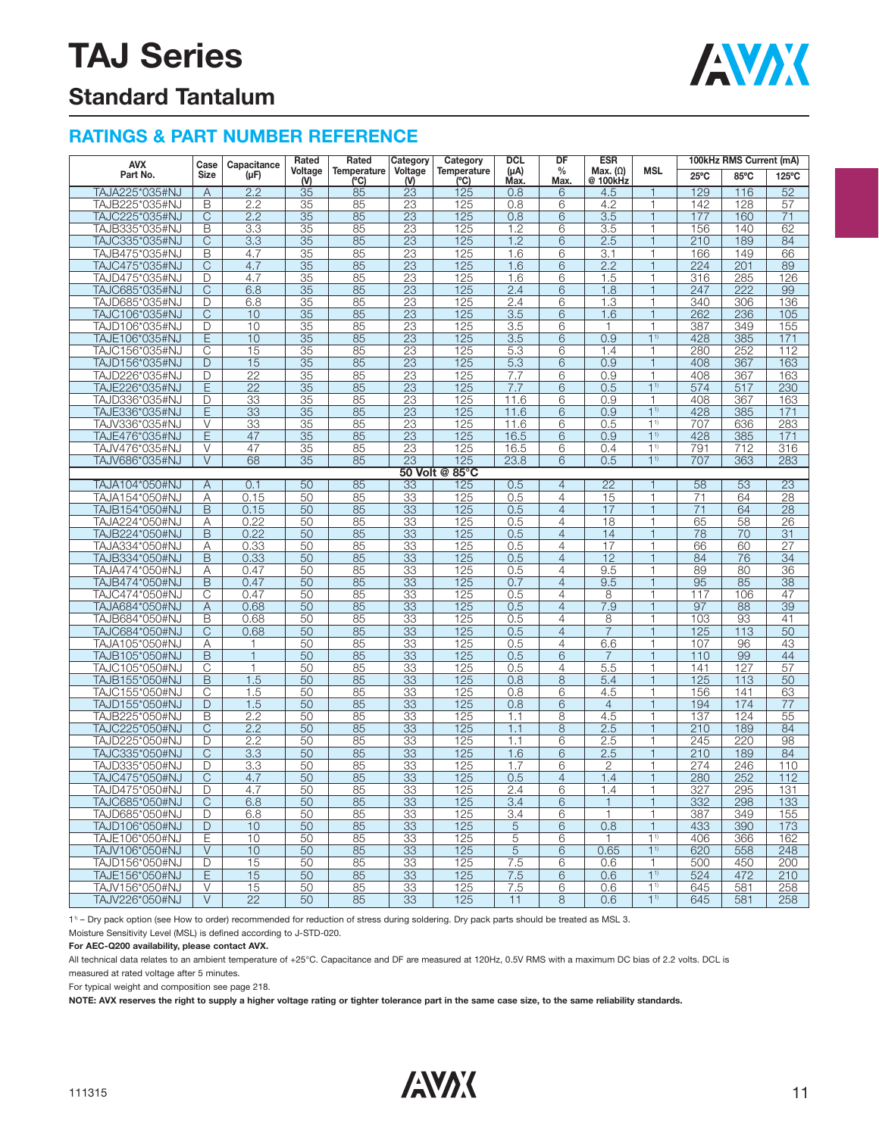

### **Standard Tantalum**

#### **RATINGS & PART NUMBER REFERENCE**

| <b>AVX</b>     |                         | Case<br>Capacitance | Rated           | Rated               | Category        | Category            | <b>DCL</b>        | DF                    | <b>ESR</b><br><b>MSL</b><br>Max. $(\Omega)$ |                          | 100kHz RMS Current (mA) |      |                  |  |
|----------------|-------------------------|---------------------|-----------------|---------------------|-----------------|---------------------|-------------------|-----------------------|---------------------------------------------|--------------------------|-------------------------|------|------------------|--|
| Part No.       | <b>Size</b>             | $(\mu F)$           | Voltage<br>$W$  | Temperature<br>(°C) | Voltage<br>(V)  | Temperature<br>(°C) | $(\mu A)$<br>Max. | $\frac{0}{0}$<br>Max. | @ 100kHz                                    |                          | 25°C                    | 85°C | 125°C            |  |
| TAJA225*035#NJ | Α                       | 2.2                 | 35              | 85                  | 23              | 125                 | 0.8               | 6                     | 4.5                                         |                          | 129                     | 116  | 52               |  |
| TAJB225*035#NJ | B                       | 2.2                 | 35              | 85                  | 23              | 125                 | 0.8               | 6                     | 4.2                                         | 1                        | 142                     | 128  | 57               |  |
| TAJC225*035#NJ | $\overline{C}$          | 2.2                 | 35              | 85                  | 23              | 125                 | 0.8               | 6                     | 3.5                                         | $\mathbf{1}$             | 177                     | 160  | 71               |  |
| TAJB335*035#NJ | $\overline{B}$          | 3.3                 | $\overline{35}$ | 85                  | $\overline{23}$ | 125                 | 1.2               | 6                     | $\overline{3.5}$                            | 1                        | 156                     | 140  | 62               |  |
| TAJC335*035#NJ | $\overline{\mathrm{C}}$ | 3.3                 | $\overline{35}$ | 85                  | 23              | 125                 | 1.2               | 6                     | 2.5                                         | 1                        | 210                     | 189  | 84               |  |
| TAJB475*035#NJ | B                       | 4.7                 | 35              | 85                  | 23              | 125                 | 1.6               | 6                     | 3.1                                         | 1                        | 166                     | 149  | 66               |  |
| TAJC475*035#NJ | C                       | 4.7                 | 35              | 85                  | 23              | 125                 | 1.6               | 6                     | 2.2                                         | 1                        | 224                     | 201  | 89               |  |
| TAJD475*035#NJ | D                       | 4.7                 | 35              | 85                  | 23              | 125                 | 1.6               | 6                     | 1.5                                         | 1                        | 316                     | 285  | 126              |  |
| TAJC685*035#NJ | $\overline{\mathrm{C}}$ | 6.8                 | 35              | 85                  | 23              | 125                 | 2.4               | 6                     | 1.8                                         | $\overline{1}$           | 247                     | 222  | 99               |  |
| TAJD685*035#NJ | D                       | 6.8                 | 35              | 85                  | 23              | 125                 | 2.4               | 6                     | 1.3                                         | 1                        | 340                     | 306  | 136              |  |
| TAJC106*035#NJ | $\overline{C}$          | 10                  | 35              | 85                  | 23              | 125                 | 3.5               | 6                     | 1.6                                         | $\mathbf{1}$             | 262                     | 236  | 105              |  |
| TAJD106*035#NJ | D                       | 10                  | 35              | 85                  | 23              | 125                 | 3.5               | 6                     | 1                                           | 1                        | 387                     | 349  | 155              |  |
| TAJE106*035#NJ | Ē                       | 10                  | 35              | 85                  | $\overline{23}$ | 125                 | 3.5               | 6                     | 0.9                                         | 1 <sup>1</sup>           | 428                     | 385  | 171              |  |
| TAJC156*035#NJ | С                       | 15                  | 35              | 85                  | 23              | 125                 | 5.3               | 6                     | 1.4                                         | 1                        | 280                     | 252  | 112              |  |
| TAJD156*035#NJ | D                       | 15                  | 35              | 85                  | 23              | 125                 | 5.3               | 6                     | 0.9                                         | $\mathbf{1}$             | 408                     | 367  | 163              |  |
| TAJD226*035#NJ | $\Box$                  | $\overline{22}$     | 35              | 85                  | 23              | 125                 | 7.7               | 6                     | 0.9                                         | 1                        | 408                     | 367  | 163              |  |
| TAJE226*035#NJ | E                       | $\overline{22}$     | 35              | 85                  | 23              | 125                 | 7.7               | $\overline{6}$        | 0.5                                         | 1 <sup>1</sup>           | 574                     | 517  | $\overline{230}$ |  |
| TAJD336*035#NJ | D                       | $\overline{33}$     | 35              | 85                  | $\overline{23}$ | 125                 | 11.6              | 6                     | 0.9                                         | 1                        | 408                     | 367  | 163              |  |
| TAJE336*035#NJ | E                       | 33                  | 35              | 85                  | 23              | 125                 | 11.6              | 6                     | 0.9                                         | 1 <sup>1</sup>           | 428                     | 385  | 171              |  |
| TAJV336*035#NJ | V                       |                     | 35              | 85                  |                 |                     | 11.6              | 6                     | 0.5                                         | 11                       | 707                     | 636  |                  |  |
|                | E                       | 33                  |                 |                     | 23              | 125                 |                   |                       |                                             | 1 <sup>1</sup>           |                         |      | 283              |  |
| TAJE476*035#NJ |                         | 47                  | 35              | 85                  | 23              | 125                 | 16.5              | 6                     | 0.9                                         |                          | 428                     | 385  | 171              |  |
| TAJV476*035#NJ | V                       | 47                  | 35              | 85                  | 23              | 125                 | 16.5              | 6                     | 0.4                                         | 1 <sup>1</sup><br>11     | 791                     | 712  | 316              |  |
| TAJV686*035#NJ | $\vee$                  | 68                  | 35              | 85                  | 23              | 125                 | 23.8              | 6                     | 0.5                                         |                          | 707                     | 363  | 283              |  |
|                |                         | 0.1                 |                 |                     |                 | 50 Volt @ 85°C      |                   |                       |                                             | $\overline{1}$           |                         |      |                  |  |
| TAJA104*050#NJ | Α                       |                     | 50              | 85                  | 33              | 125                 | 0.5               | $\overline{4}$        | $\overline{22}$                             |                          | 58                      | 53   | $\overline{23}$  |  |
| TAJA154*050#NJ | A                       | 0.15                | 50              | 85                  | 33              | 125                 | 0.5               | $\overline{4}$        | 15                                          | 1                        | 71                      | 64   | 28               |  |
| TAJB154*050#NJ | B                       | 0.15                | 50              | 85                  | 33              | 125                 | 0.5               | $\overline{4}$        | 17                                          | $\mathbf{1}$             | 71                      | 64   | 28               |  |
| TAJA224*050#NJ | Α                       | 0.22                | 50              | 85                  | 33              | 125                 | 0.5               | 4                     | 18                                          | 1                        | 65                      | 58   | 26               |  |
| TAJB224*050#NJ | B                       | 0.22                | 50              | 85                  | 33              | 125                 | 0.5               | $\overline{4}$        | 14                                          | $\mathbf{1}$             | 78                      | 70   | 31               |  |
| TAJA334*050#NJ | Α                       | 0.33                | 50              | 85                  | 33              | 125                 | 0.5               | 4                     | 17                                          | 1                        | 66                      | 60   | 27               |  |
| TAJB334*050#NJ | $\overline{\mathsf{B}}$ | 0.33                | 50              | 85                  | 33              | 125                 | 0.5               | $\overline{4}$        | 12                                          | 1                        | 84                      | 76   | 34               |  |
| TAJA474*050#NJ | A                       | 0.47                | 50              | 85                  | 33              | 125                 | 0.5               | $\overline{4}$        | 9.5                                         | 1                        | 89                      | 80   | 36               |  |
| TAJB474*050#NJ | B                       | 0.47                | 50              | 85                  | 33              | 125                 | 0.7               | $\overline{4}$        | 9.5                                         | $\overline{1}$           | 95                      | 85   | 38               |  |
| TAJC474*050#NJ | C                       | 0.47                | 50              | 85                  | 33              | 125                 | 0.5               | $\overline{4}$        | 8                                           | 1                        | 117                     | 106  | 47               |  |
| TAJA684*050#NJ | $\overline{A}$          | 0.68                | 50              | 85                  | 33              | 125                 | 0.5               | $\overline{4}$        | 7.9                                         | 1                        | 97                      | 88   | 39               |  |
| TAJB684*050#NJ | B                       | 0.68                | 50              | 85                  | 33              | 125                 | 0.5               | 4                     | 8                                           | 1                        | 103                     | 93   | 41               |  |
| TAJC684*050#NJ | $\overline{\text{C}}$   | 0.68                | 50              | 85                  | 33              | 125                 | 0.5               | $\overline{4}$        | $\overline{7}$                              | $\mathbf{1}$             | 125                     | 113  | $\overline{50}$  |  |
| TAJA105*050#NJ | Α                       | 1                   | 50              | 85                  | 33              | 125                 | 0.5               | 4                     | 6.6                                         | 1                        | 107                     | 96   | 43               |  |
| TAJB105*050#NJ | B                       | $\mathbf{1}$        | 50              | 85                  | 33              | 125                 | 0.5               | 6                     | $\overline{7}$                              | $\overline{1}$           | 110                     | 99   | 44               |  |
| TAJC105*050#NJ | C                       | $\mathbf{1}$        | 50              | 85                  | 33              | 125                 | 0.5               | 4                     | 5.5                                         | 1                        | 141                     | 127  | 57               |  |
| TAJB155*050#NJ | $\overline{B}$          | 1.5                 | 50              | 85                  | 33              | 125                 | 0.8               | 8                     | 5.4                                         | $\overline{1}$           | 125                     | 113  | 50               |  |
| TAJC155*050#NJ | C                       | 1.5                 | 50              | 85                  | 33              | 125                 | 0.8               | 6                     | 4.5                                         | 1                        | 156                     | 141  | 63               |  |
| TAJD155*050#NJ | D                       | 1.5                 | 50              | 85                  | 33              | 125                 | 0.8               | 6                     | $\overline{4}$                              | 1                        | 194                     | 174  | 77               |  |
| TAJB225*050#NJ | B                       | 2.2                 | 50              | 85                  | 33              | 125                 | 1.1               | 8                     | 4.5                                         | 1                        | 137                     | 124  | 55               |  |
| TAJC225*050#NJ | $\overline{C}$          | 2.2                 | 50              | 85                  | 33              | 125                 | 1.1               | 8                     | 2.5                                         | $\mathbf{1}$             | 210                     | 189  | 84               |  |
| TAJD225*050#NJ | D                       | 2.2                 | 50              | 85                  | $\overline{33}$ | 125                 | 1.1               | 6                     | 2.5                                         | $\overline{\phantom{a}}$ | 245                     | 220  | 98               |  |
| TAJC335*050#NJ | $\overline{\mathrm{C}}$ | 3.3                 | 50              | 85                  | 33              | 125                 | 1.6               | 6                     | 2.5                                         | 1                        | 210                     | 189  | 84               |  |
| TAJD335*050#NJ | D                       | 3.3                 | 50              | 85                  | 33              | <u>125</u>          | 1.7               | 6                     | $\overline{2}$                              | 1                        | 274                     | 246  | 110              |  |
| TAJC475*050#NJ | C                       | 4.7                 | 50              | 85                  | 33              | 125                 | 0.5               | $\overline{4}$        | 1.4                                         | $\overline{1}$           | 280                     | 252  | 112              |  |
| TAJD475*050#NJ | D                       | 4.7                 | 50              | 85                  | 33              | 125                 | 2.4               | 6                     | $1.\overline{4}$                            | 1                        | 327                     | 295  | 131              |  |
| TAJC685*050#NJ | $\overline{\mathrm{C}}$ | 6.8                 | 50              | 85                  | 33              | 125                 | 3.4               | 6                     | $\mathbf{1}$                                | $\overline{1}$           | 332                     | 298  | 133              |  |
| TAJD685*050#NJ | D                       | 6.8                 | 50              | 85                  | 33              | 125                 | 3.4               | 6                     | 1                                           | 1                        | 387                     | 349  | 155              |  |
| TAJD106*050#NJ | $\mathsf{D}$            | 10                  | 50              | 85                  | 33              | 125                 | 5                 | 6                     | 0.8                                         | $\mathbf{1}$             | 433                     | 390  | 173              |  |
| TAJE106*050#NJ | E                       | 10                  | 50              | 85                  | 33              | 125                 | 5                 | 6                     | 1                                           | 1 <sup>1</sup>           | 406                     | 366  | 162              |  |
| TAJV106*050#NJ | $\overline{\vee}$       | 10                  | 50              | 85                  | 33              | 125                 | $\overline{5}$    | 6                     | 0.65                                        | 1 <sup>1</sup>           | 620                     | 558  | 248              |  |
| TAJD156*050#NJ | D                       | 15                  | 50              | 85                  | 33              | 125                 | 7.5               | 6                     | 0.6                                         | 1                        | 500                     | 450  | 200              |  |
| TAJE156*050#NJ | E                       | 15                  | 50              | 85                  | 33              | 125                 | 7.5               | 6                     | 0.6                                         | 1 <sup>1</sup>           | 524                     | 472  | 210              |  |
| TAJV156*050#NJ | $\vee$                  | 15                  | 50              | 85                  | 33              | 125                 | 7.5               | 6                     | 0.6                                         | 11)                      | 645                     | 581  | 258              |  |
| TAJV226*050#NJ | $\overline{\vee}$       | $\overline{22}$     | 50              | 85                  | $\overline{33}$ | 125                 | 11                | 8                     | 0.6                                         | 11                       | 645                     | 581  | 258              |  |

11) – Dry pack option (see How to order) recommended for reduction of stress during soldering. Dry pack parts should be treated as MSL 3.

Moisture Sensitivity Level (MSL) is defined according to J-STD-020.

**For AEC-Q200 availability, please contact AVX.**

All technical data relates to an ambient temperature of +25°C. Capacitance and DF are measured at 120Hz, 0.5V RMS with a maximum DC bias of 2.2 volts. DCL is

measured at rated voltage after 5 minutes.

For typical weight and composition see page 218.

**NOTE: AVX reserves the right to supply a higher voltage rating or tighter tolerance part in the same case size, to the same reliability standards.**